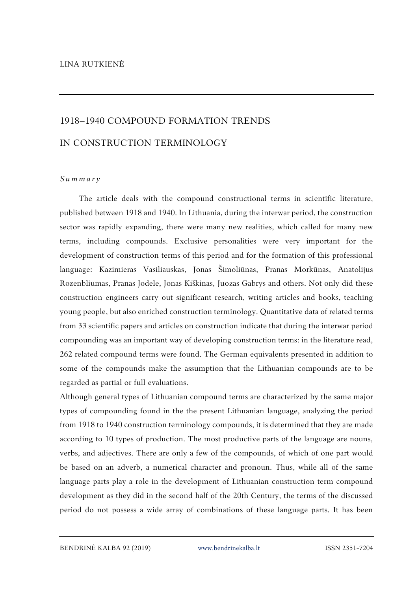## 1918–1940 COMPOUND FORMATION TRENDS IN CONSTRUCTION TERMINOLOGY

## *S u m m a r y*

The article deals with the compound constructional terms in scientific literature, published between 1918 and 1940. In Lithuania, during the interwar period, the construction sector was rapidly expanding, there were many new realities, which called for many new terms, including compounds. Exclusive personalities were very important for the development of construction terms of this period and for the formation of this professional language: Kazimieras Vasiliauskas, Jonas Šimoliūnas, Pranas Morkūnas, Anatolijus Rozenbliumas, Pranas Jodele, Jonas Kiškinas, Juozas Gabrys and others. Not only did these construction engineers carry out significant research, writing articles and books, teaching young people, but also enriched construction terminology. Quantitative data of related terms from 33 scientific papers and articles on construction indicate that during the interwar period compounding was an important way of developing construction terms: in the literature read, 262 related compound terms were found. The German equivalents presented in addition to some of the compounds make the assumption that the Lithuanian compounds are to be regarded as partial or full evaluations.

Although general types of Lithuanian compound terms are characterized by the same major types of compounding found in the the present Lithuanian language, analyzing the period from 1918 to 1940 construction terminology compounds, it is determined that they are made according to 10 types of production. The most productive parts of the language are nouns, verbs, and adjectives. There are only a few of the compounds, of which of one part would be based on an adverb, a numerical character and pronoun. Thus, while all of the same language parts play a role in the development of Lithuanian construction term compound development as they did in the second half of the 20th Century, the terms of the discussed period do not possess a wide array of combinations of these language parts. It has been